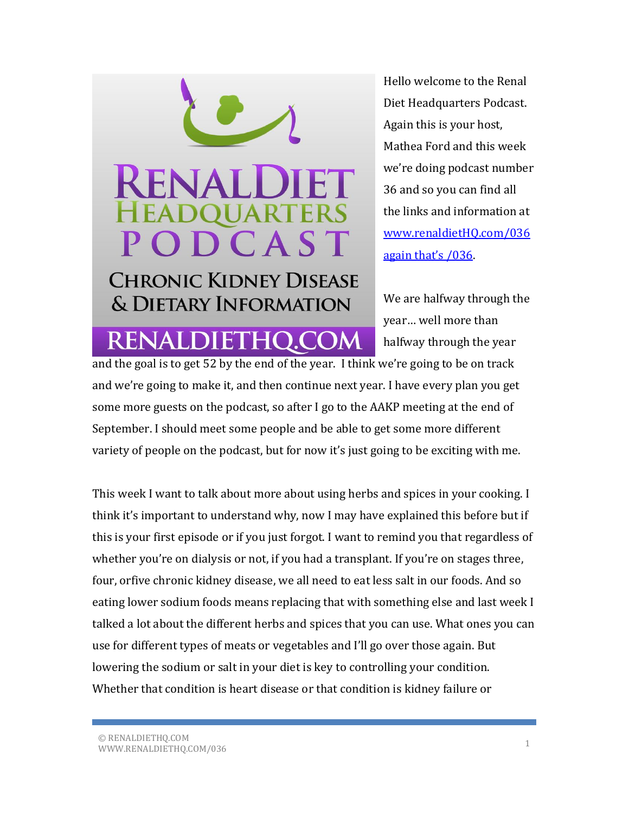## PODCAST

**CHRONIC KIDNEY DISEASE** & DIETARY INFORMATION

**RENALDIETHQ.CO** 

Hello welcome to the Renal Diet Headquarters Podcast. Again this is your host, Mathea Ford and this week we're doing podcast number 36 and so you can find all the links and information at [www.renaldietHQ.com/036](http://www.renaldiethq.com/036%20again%20that)  [again that's /036](http://www.renaldiethq.com/036%20again%20that).

We are halfway through the year… well more than halfway through the year

and the goal is to get 52 by the end of the year. I think we're going to be on track and we're going to make it, and then continue next year. I have every plan you get some more guests on the podcast, so after I go to the AAKP meeting at the end of September. I should meet some people and be able to get some more different variety of people on the podcast, but for now it's just going to be exciting with me.

This week I want to talk about more about using herbs and spices in your cooking. I think it's important to understand why, now I may have explained this before but if this is your first episode or if you just forgot. I want to remind you that regardless of whether you're on dialysis or not, if you had a transplant. If you're on stages three, four, orfive chronic kidney disease, we all need to eat less salt in our foods. And so eating lower sodium foods means replacing that with something else and last week I talked a lot about the different herbs and spices that you can use. What ones you can use for different types of meats or vegetables and I'll go over those again. But lowering the sodium or salt in your diet is key to controlling your condition. Whether that condition is heart disease or that condition is kidney failure or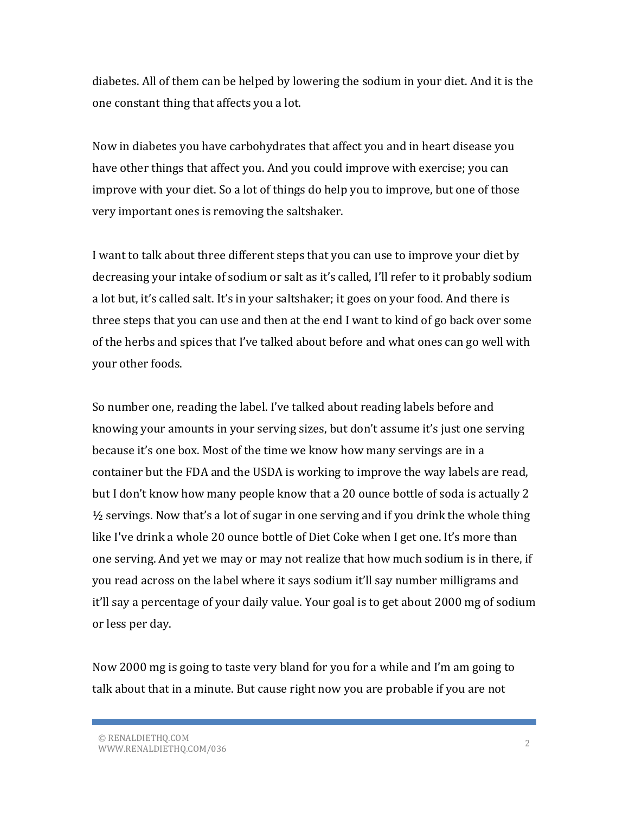diabetes. All of them can be helped by lowering the sodium in your diet. And it is the one constant thing that affects you a lot.

Now in diabetes you have carbohydrates that affect you and in heart disease you have other things that affect you. And you could improve with exercise; you can improve with your diet. So a lot of things do help you to improve, but one of those very important ones is removing the saltshaker.

I want to talk about three different steps that you can use to improve your diet by decreasing your intake of sodium or salt as it's called, I'll refer to it probably sodium a lot but, it's called salt. It's in your saltshaker; it goes on your food. And there is three steps that you can use and then at the end I want to kind of go back over some of the herbs and spices that I've talked about before and what ones can go well with your other foods.

So number one, reading the label. I've talked about reading labels before and knowing your amounts in your serving sizes, but don't assume it's just one serving because it's one box. Most of the time we know how many servings are in a container but the FDA and the USDA is working to improve the way labels are read, but I don't know how many people know that a 20 ounce bottle of soda is actually 2  $\frac{1}{2}$  servings. Now that's a lot of sugar in one serving and if you drink the whole thing like I've drink a whole 20 ounce bottle of Diet Coke when I get one. It's more than one serving. And yet we may or may not realize that how much sodium is in there, if you read across on the label where it says sodium it'll say number milligrams and it'll say a percentage of your daily value. Your goal is to get about 2000 mg of sodium or less per day.

Now 2000 mg is going to taste very bland for you for a while and I'm am going to talk about that in a minute. But cause right now you are probable if you are not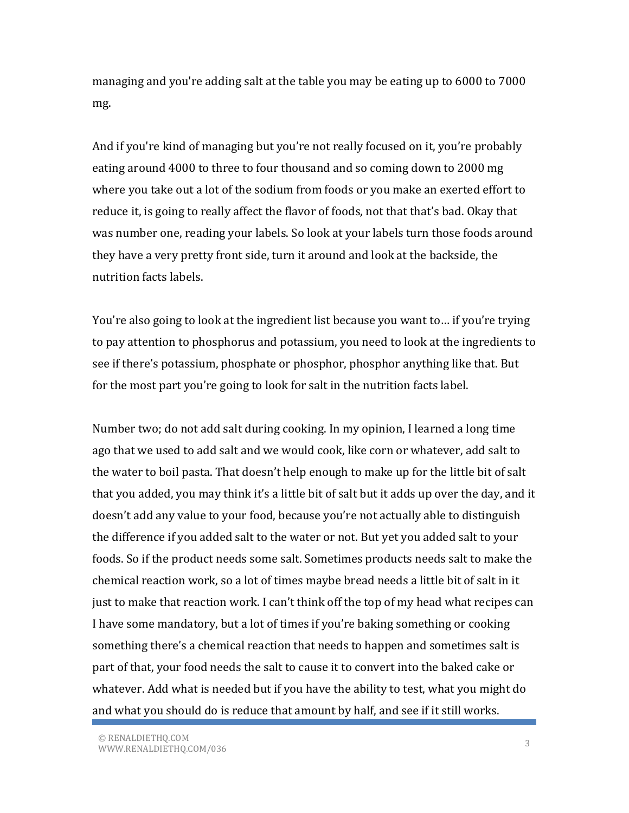managing and you're adding salt at the table you may be eating up to 6000 to 7000 mg.

And if you're kind of managing but you're not really focused on it, you're probably eating around 4000 to three to four thousand and so coming down to 2000 mg where you take out a lot of the sodium from foods or you make an exerted effort to reduce it, is going to really affect the flavor of foods, not that that's bad. Okay that was number one, reading your labels. So look at your labels turn those foods around they have a very pretty front side, turn it around and look at the backside, the nutrition facts labels.

You're also going to look at the ingredient list because you want to… if you're trying to pay attention to phosphorus and potassium, you need to look at the ingredients to see if there's potassium, phosphate or phosphor, phosphor anything like that. But for the most part you're going to look for salt in the nutrition facts label.

Number two; do not add salt during cooking. In my opinion, I learned a long time ago that we used to add salt and we would cook, like corn or whatever, add salt to the water to boil pasta. That doesn't help enough to make up for the little bit of salt that you added, you may think it's a little bit of salt but it adds up over the day, and it doesn't add any value to your food, because you're not actually able to distinguish the difference if you added salt to the water or not. But yet you added salt to your foods. So if the product needs some salt. Sometimes products needs salt to make the chemical reaction work, so a lot of times maybe bread needs a little bit of salt in it just to make that reaction work. I can't think off the top of my head what recipes can I have some mandatory, but a lot of times if you're baking something or cooking something there's a chemical reaction that needs to happen and sometimes salt is part of that, your food needs the salt to cause it to convert into the baked cake or whatever. Add what is needed but if you have the ability to test, what you might do and what you should do is reduce that amount by half, and see if it still works.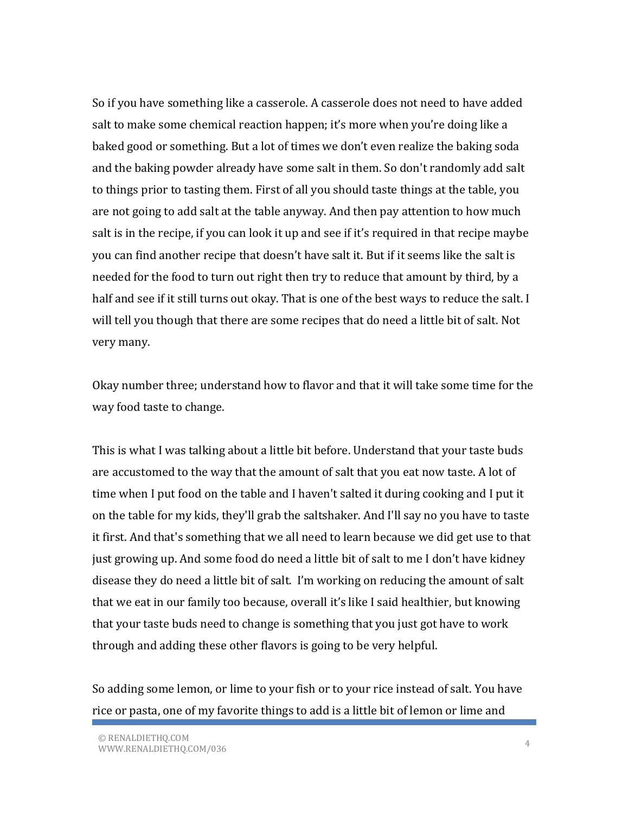So if you have something like a casserole. A casserole does not need to have added salt to make some chemical reaction happen; it's more when you're doing like a baked good or something. But a lot of times we don't even realize the baking soda and the baking powder already have some salt in them. So don't randomly add salt to things prior to tasting them. First of all you should taste things at the table, you are not going to add salt at the table anyway. And then pay attention to how much salt is in the recipe, if you can look it up and see if it's required in that recipe maybe you can find another recipe that doesn't have salt it. But if it seems like the salt is needed for the food to turn out right then try to reduce that amount by third, by a half and see if it still turns out okay. That is one of the best ways to reduce the salt. I will tell you though that there are some recipes that do need a little bit of salt. Not very many.

Okay number three; understand how to flavor and that it will take some time for the way food taste to change.

This is what I was talking about a little bit before. Understand that your taste buds are accustomed to the way that the amount of salt that you eat now taste. A lot of time when I put food on the table and I haven't salted it during cooking and I put it on the table for my kids, they'll grab the saltshaker. And I'll say no you have to taste it first. And that's something that we all need to learn because we did get use to that just growing up. And some food do need a little bit of salt to me I don't have kidney disease they do need a little bit of salt. I'm working on reducing the amount of salt that we eat in our family too because, overall it's like I said healthier, but knowing that your taste buds need to change is something that you just got have to work through and adding these other flavors is going to be very helpful.

So adding some lemon, or lime to your fish or to your rice instead of salt. You have rice or pasta, one of my favorite things to add is a little bit of lemon or lime and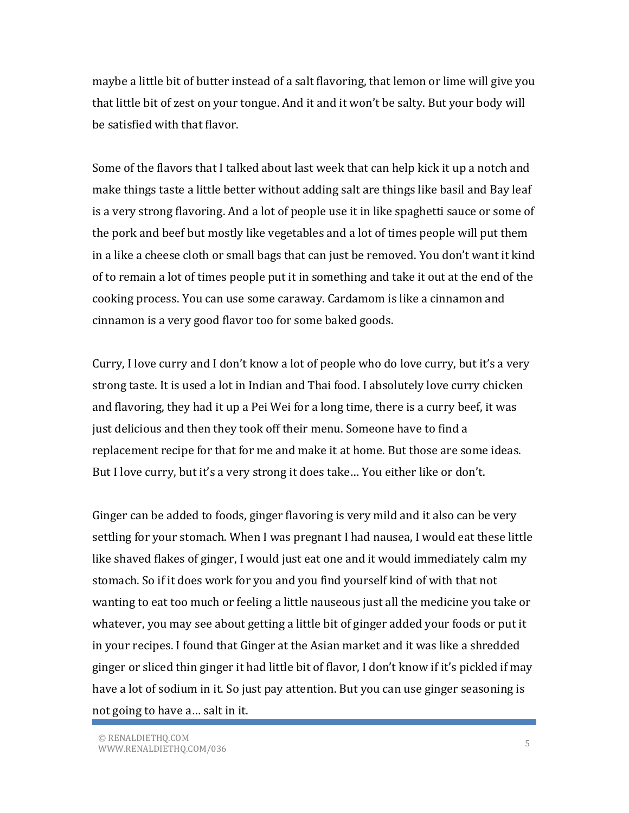maybe a little bit of butter instead of a salt flavoring, that lemon or lime will give you that little bit of zest on your tongue. And it and it won't be salty. But your body will be satisfied with that flavor.

Some of the flavors that I talked about last week that can help kick it up a notch and make things taste a little better without adding salt are things like basil and Bay leaf is a very strong flavoring. And a lot of people use it in like spaghetti sauce or some of the pork and beef but mostly like vegetables and a lot of times people will put them in a like a cheese cloth or small bags that can just be removed. You don't want it kind of to remain a lot of times people put it in something and take it out at the end of the cooking process. You can use some caraway. Cardamom is like a cinnamon and cinnamon is a very good flavor too for some baked goods.

Curry, I love curry and I don't know a lot of people who do love curry, but it's a very strong taste. It is used a lot in Indian and Thai food. I absolutely love curry chicken and flavoring, they had it up a Pei Wei for a long time, there is a curry beef, it was just delicious and then they took off their menu. Someone have to find a replacement recipe for that for me and make it at home. But those are some ideas. But I love curry, but it's a very strong it does take… You either like or don't.

Ginger can be added to foods, ginger flavoring is very mild and it also can be very settling for your stomach. When I was pregnant I had nausea, I would eat these little like shaved flakes of ginger, I would just eat one and it would immediately calm my stomach. So if it does work for you and you find yourself kind of with that not wanting to eat too much or feeling a little nauseous just all the medicine you take or whatever, you may see about getting a little bit of ginger added your foods or put it in your recipes. I found that Ginger at the Asian market and it was like a shredded ginger or sliced thin ginger it had little bit of flavor, I don't know if it's pickled if may have a lot of sodium in it. So just pay attention. But you can use ginger seasoning is not going to have a… salt in it.